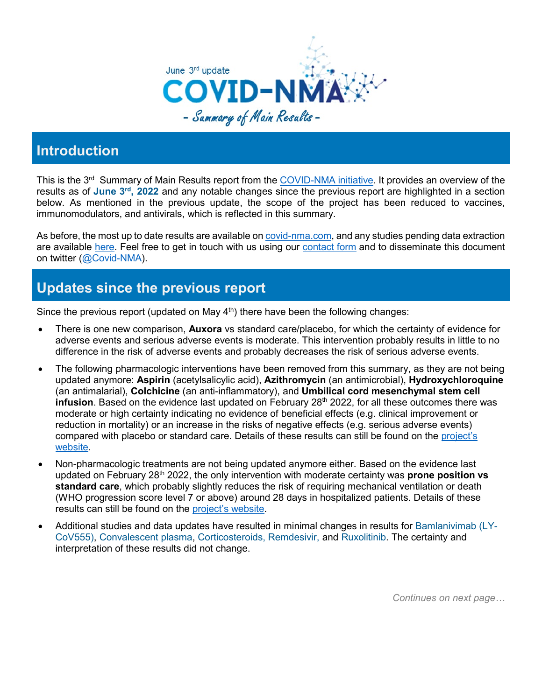

## **Introduction**

This is the 3<sup>rd</sup> Summary of Main Results report from the [COVID-NMA initiative.](https://covid-nma.com/) It provides an overview of the results as of **June 3rd, 2022** and any notable changes since the previous report are highlighted in a section below. As mentioned in the previous update, the scope of the project has been reduced to vaccines, immunomodulators, and antivirals, which is reflected in this summary.

As before, the most up to date results are available on [covid-nma.com,](https://covid-nma.com/) and any studies pending data extraction are available [here.](https://covid-nma.com/news/) Feel free to get in touch with us using our [contact form](https://covid-nma.com/contact/) and to disseminate this document on twitter [\(@Covid-NMA\)](https://twitter.com/CovidNma).

# **Updates since the previous report**

Since the previous report (updated on May  $4<sup>th</sup>$ ) there have been the following changes:

- There is one new comparison, **Auxora** vs standard care/placebo, for which the certainty of evidence for adverse events and serious adverse events is moderate. This intervention probably results in little to no difference in the risk of adverse events and probably decreases the risk of serious adverse events.
- The following pharmacologic interventions have been removed from this summary, as they are not being updated anymore: **Aspirin** (acetylsalicylic acid), **Azithromycin** (an antimicrobial), **Hydroxychloroquine**  (an antimalarial), **Colchicine** (an anti-inflammatory), and **Umbilical cord mesenchymal stem cell infusion**. Based on the evidence last updated on February 28<sup>th</sup> 2022, for all these outcomes there was moderate or high certainty indicating no evidence of beneficial effects (e.g. clinical improvement or reduction in mortality) or an increase in the risks of negative effects (e.g. serious adverse events) compared with placebo or standard care. Details of these results can still be found on the [project's](https://covid-nma.com/)  [website.](https://covid-nma.com/)
- Non-pharmacologic treatments are not being updated anymore either. Based on the evidence last updated on February 28th 2022, the only intervention with moderate certainty was **prone position vs standard care**, which probably slightly reduces the risk of requiring mechanical ventilation or death (WHO progression score level 7 or above) around 28 days in hospitalized patients. Details of these results can still be found on the [project's website.](https://covid-nma.com/)
- Additional studies and data updates have resulted in minimal changes in results for Bamlanivimab (LY-CoV555), Convalescent plasma, Corticosteroids, Remdesivir, and Ruxolitinib. The certainty and interpretation of these results did not change.

*Continues on next page…*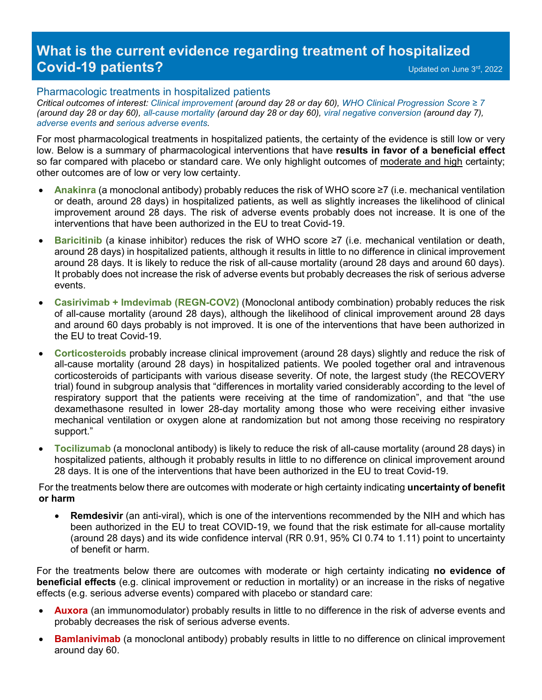## **What is the current evidence regarding treatment of hospitalized Covid-19 patients?** Covid-19 patients?

### Pharmacologic treatments in hospitalized patients

*Critical outcomes of interest: Clinical improvement (around day 28 or day 60), WHO Clinical Progression Score ≥ 7 (around day 28 or day 60), all-cause mortality (around day 28 or day 60), viral negative conversion (around day 7), adverse events and serious adverse events.* 

For most pharmacological treatments in hospitalized patients, the certainty of the evidence is still low or very low. Below is a summary of pharmacological interventions that have **results in favor of a beneficial effect** so far compared with placebo or standard care. We only highlight outcomes of moderate and high certainty; other outcomes are of low or very low certainty.

- **Anakinra** (a monoclonal antibody) probably reduces the risk of WHO score ≥7 (i.e. mechanical ventilation or death, around 28 days) in hospitalized patients, as well as slightly increases the likelihood of clinical improvement around 28 days. The risk of adverse events probably does not increase. It is one of the interventions that have been authorized in the EU to treat Covid-19.
- **Baricitinib** (a kinase inhibitor) reduces the risk of WHO score ≥7 (i.e. mechanical ventilation or death, around 28 days) in hospitalized patients, although it results in little to no difference in clinical improvement around 28 days. It is likely to reduce the risk of all-cause mortality (around 28 days and around 60 days). It probably does not increase the risk of adverse events but probably decreases the risk of serious adverse events.
- **Casirivimab + Imdevimab (REGN-COV2)** (Monoclonal antibody combination) probably reduces the risk of all-cause mortality (around 28 days), although the likelihood of clinical improvement around 28 days and around 60 days probably is not improved. It is one of the interventions that have been authorized in the EU to treat Covid-19.
- **Corticosteroids** probably increase clinical improvement (around 28 days) slightly and reduce the risk of all-cause mortality (around 28 days) in hospitalized patients. We pooled together oral and intravenous corticosteroids of participants with various disease severity. Of note, the largest study (the RECOVERY trial) found in subgroup analysis that "differences in mortality varied considerably according to the level of respiratory support that the patients were receiving at the time of randomization", and that "the use dexamethasone resulted in lower 28-day mortality among those who were receiving either invasive mechanical ventilation or oxygen alone at randomization but not among those receiving no respiratory support."
- **Tocilizumab** (a monoclonal antibody) is likely to reduce the risk of all-cause mortality (around 28 days) in hospitalized patients, although it probably results in little to no difference on clinical improvement around 28 days. It is one of the interventions that have been authorized in the EU to treat Covid-19.

For the treatments below there are outcomes with moderate or high certainty indicating **uncertainty of benefit or harm**

**Remdesivir** (an anti-viral), which is one of the interventions recommended by the NIH and which has been authorized in the EU to treat COVID-19, we found that the risk estimate for all-cause mortality (around 28 days) and its wide confidence interval (RR 0.91, 95% CI 0.74 to 1.11) point to uncertainty of benefit or harm.

For the treatments below there are outcomes with moderate or high certainty indicating **no evidence of beneficial effects** (e.g. clinical improvement or reduction in mortality) or an increase in the risks of negative effects (e.g. serious adverse events) compared with placebo or standard care:

- **Auxora** (an immunomodulator) probably results in little to no difference in the risk of adverse events and probably decreases the risk of serious adverse events.
- **Bamlanivimab** (a monoclonal antibody) probably results in little to no difference on clinical improvement around day 60.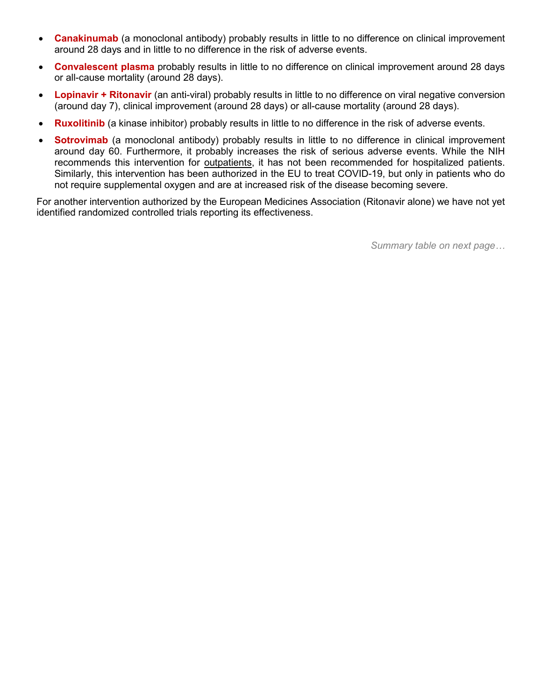- **Canakinumab** (a monoclonal antibody) probably results in little to no difference on clinical improvement around 28 days and in little to no difference in the risk of adverse events.
- **Convalescent plasma** probably results in little to no difference on clinical improvement around 28 days or all-cause mortality (around 28 days).
- **Lopinavir + Ritonavir** (an anti-viral) probably results in little to no difference on viral negative conversion (around day 7), clinical improvement (around 28 days) or all-cause mortality (around 28 days).
- **Ruxolitinib** (a kinase inhibitor) probably results in little to no difference in the risk of adverse events.
- **Sotrovimab** (a monoclonal antibody) probably results in little to no difference in clinical improvement around day 60. Furthermore, it probably increases the risk of serious adverse events. While the NIH recommends this intervention for outpatients, it has not been recommended for hospitalized patients. Similarly, this intervention has been authorized in the EU to treat COVID-19, but only in patients who do not require supplemental oxygen and are at increased risk of the disease becoming severe.

For another intervention authorized by the European Medicines Association (Ritonavir alone) we have not yet identified randomized controlled trials reporting its effectiveness.

*Summary table on next page…*